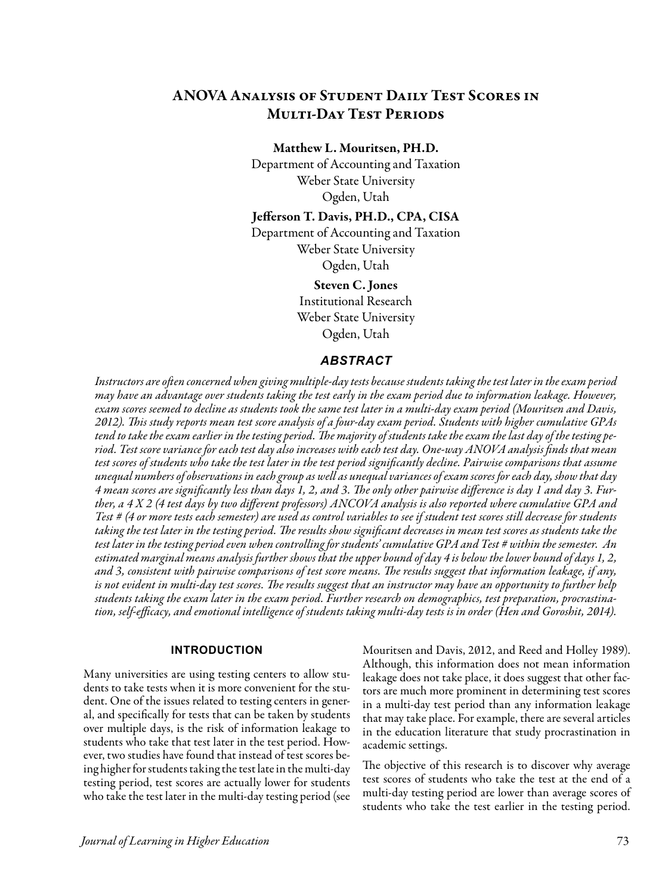# ANOVA Analysis of Student Daily Test Scores in Multi-Day Test Periods

Matthew L. Mouritsen, PH.D.

Department of Accounting and Taxation Weber State University Ogden, Utah

Jefferson T. Davis, PH.D., CPA, CISA

Department of Accounting and Taxation Weber State University Ogden, Utah

> Steven C. Jones Institutional Research Weber State University

Ogden, Utah

## *ABSTRACT*

*Instructors are often concerned when giving multiple-day tests because students taking the test later in the exam period may have an advantage over students taking the test early in the exam period due to information leakage. However, exam scores seemed to decline as students took the same test later in a multi-day exam period (Mouritsen and Davis, 2012). This study reports mean test score analysis of a four-day exam period. Students with higher cumulative GPAs tend to take the exam earlier in the testing period. The majority of students take the exam the last day of the testing period. Test score variance for each test day also increases with each test day. One-way ANOVA analysis finds that mean test scores of students who take the test later in the test period significantly decline. Pairwise comparisons that assume unequal numbers of observations in each group as well as unequal variances of exam scores for each day, show that day 4 mean scores are significantly less than days 1, 2, and 3. The only other pairwise difference is day 1 and day 3. Further, a 4 X 2 (4 test days by two different professors) ANCOVA analysis is also reported where cumulative GPA and Test # (4 or more tests each semester) are used as control variables to see if student test scores still decrease for students taking the test later in the testing period. The results show significant decreases in mean test scores as students take the test later in the testing period even when controlling for students' cumulative GPA and Test # within the semester. An estimated marginal means analysis further shows that the upper bound of day 4 is below the lower bound of days 1, 2, and 3, consistent with pairwise comparisons of test score means. The results suggest that information leakage, if any, is not evident in multi-day test scores. The results suggest that an instructor may have an opportunity to further help students taking the exam later in the exam period. Further research on demographics, test preparation, procrastination, self-efficacy, and emotional intelligence of students taking multi-day tests is in order (Hen and Goroshit, 2014).* 

### **INTRODUCTION**

Many universities are using testing centers to allow students to take tests when it is more convenient for the student. One of the issues related to testing centers in general, and specifically for tests that can be taken by students over multiple days, is the risk of information leakage to students who take that test later in the test period. However, two studies have found that instead of test scores being higher for students taking the test late in the multi-day testing period, test scores are actually lower for students who take the test later in the multi-day testing period (see Mouritsen and Davis, 2012, and Reed and Holley 1989). Although, this information does not mean information leakage does not take place, it does suggest that other factors are much more prominent in determining test scores in a multi-day test period than any information leakage that may take place. For example, there are several articles in the education literature that study procrastination in academic settings.

The objective of this research is to discover why average test scores of students who take the test at the end of a multi-day testing period are lower than average scores of students who take the test earlier in the testing period.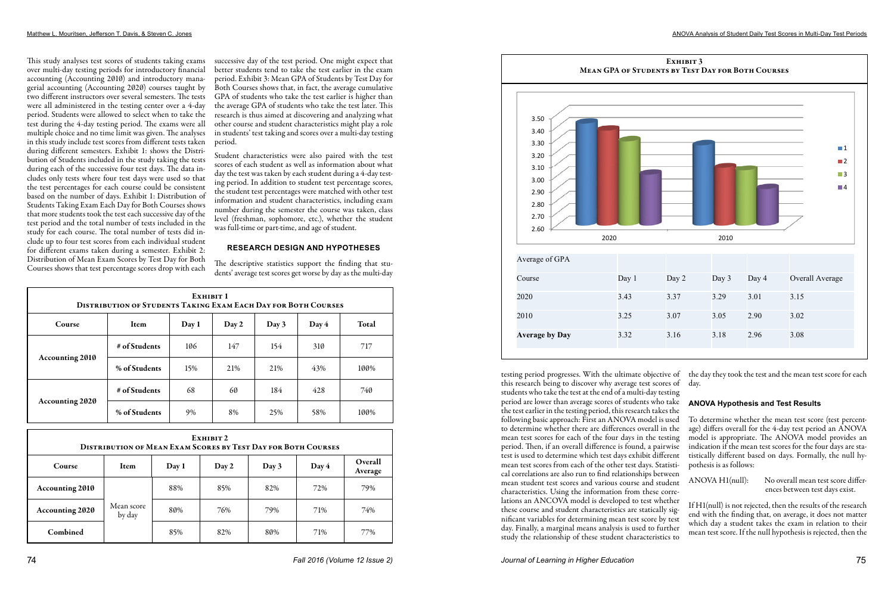This study analyses test scores of students taking exams over multi-day testing periods for introductory financial accounting (Accounting 2010) and introductory managerial accounting (Accounting 2020) courses taught by two different instructors over several semesters. The tests were all administered in the testing center over a 4-day period. Students were allowed to select when to take the test during the 4-day testing period. The exams were all multiple choice and no time limit was given. The analyses in this study include test scores from different tests taken during different semesters. Exhibit 1: shows the Distribution of Students included in the study taking the tests during each of the successive four test days. The data includes only tests where four test days were used so that the test percentages for each course could be consistent based on the number of days. Exhibit 1: Distribution of Students Taking Exam Each Day for Both Courses shows that more students took the test each successive day of the test period and the total number of tests included in the study for each course. The total number of tests did include up to four test scores from each individual student for different exams taken during a semester. Exhibit 2: Distribution of Mean Exam Scores by Test Day for Both Courses shows that test percentage scores drop with each

successive day of the test period. One might expect that better students tend to take the test earlier in the exam period. Exhibit 3: Mean GPA of Students by Test Day for Both Courses shows that, in fact, the average cumulative GPA of students who take the test earlier is higher than the average GPA of students who take the test later. This research is thus aimed at discovering and analyzing what other course and student characteristics might play a role in students' test taking and scores over a multi-day testing period.

Student characteristics were also paired with the test scores of each student as well as information about what day the test was taken by each student during a 4-day testing period. In addition to student test percentage scores, the student test percentages were matched with other test information and student characteristics, including exam number during the semester the course was taken, class level (freshman, sophomore, etc.), whether the student was full-time or part-time, and age of student.

### **RESEARCH DESIGN AND HYPOTHESES**

The descriptive statistics support the finding that students' average test scores get worse by day as the multi-day

> testing period progresses. With the ultimate objective of the day they took the test and the mean test score for each this research being to discover why average test scores of day. students who take the test at the end of a multi-day testing period are lower than average scores of students who take the test earlier in the testing period, this research takes the following basic approach: First an ANOVA model is used to determine whether there are differences overall in the mean test scores for each of the four days in the testing period. Then, if an overall difference is found, a pairwise test is used to determine which test days exhibit different mean test scores from each of the other test days. Statistical correlations are also run to find relationships between mean student test scores and various course and student characteristics. Using the information from these correlations an ANCOVA model is developed to test whether these course and student characteristics are statically significant variables for determining mean test score by test day. Finally, a marginal means analysis is used to further study the relationship of these student characteristics to **ANOVA Hypothesis and Test Results** To determine whether the mean test score (test percentage) differs overall for the 4-day test period an ANOVA model is appropriate. The ANOVA model provides an indication if the mean test scores for the four days are statistically different based on days. Formally, the null hypothesis is as follows: ANOVA H1(null): No overall mean test score differences between test days exist. If H1(null) is not rejected, then the results of the research end with the finding that, on average, it does not matter which day a student takes the exam in relation to their mean test score. If the null hypothesis is rejected, then the



|                        | <b>DISTRIBUTION OF STUDENTS TAKING EXAM EACH DAY FOR BOTH COURSES</b> | EXHIBIT 1 |       |       |       |       |
|------------------------|-----------------------------------------------------------------------|-----------|-------|-------|-------|-------|
| Course                 | Item                                                                  | Day 1     | Day 2 | Day 3 | Day 4 | Total |
|                        | # of Students                                                         | 106       | 147   | 154   | 310   | 717   |
| <b>Accounting 2010</b> | % of Students                                                         | 15%       | 21%   | 21%   | 43%   | 100%  |
|                        | # of Students                                                         | 68        | 60    | 184   | 428   | 740   |
| <b>Accounting 2020</b> | % of Students                                                         | 9%        | 8%    | 25%   | 58%   | 100%  |

|                        | <b>DISTRIBUTION OF MEAN EXAM SCORES BY TEST DAY FOR BOTH COURSES</b> |       | EXHIBIT 2 |       |       |                    |
|------------------------|----------------------------------------------------------------------|-------|-----------|-------|-------|--------------------|
| Course                 | Item                                                                 | Day 1 | Day 2     | Day 3 | Day 4 | Overall<br>Average |
| <b>Accounting 2010</b> |                                                                      | 88%   | 85%       | 82%   | 72%   | 79%                |
| <b>Accounting 2020</b> | Mean score<br>by day                                                 | 80%   | 76%       | 79%   | 71%   | 74%                |
| Combined               |                                                                      | 85%   | 82%       | 80%   | 71%   | 77%                |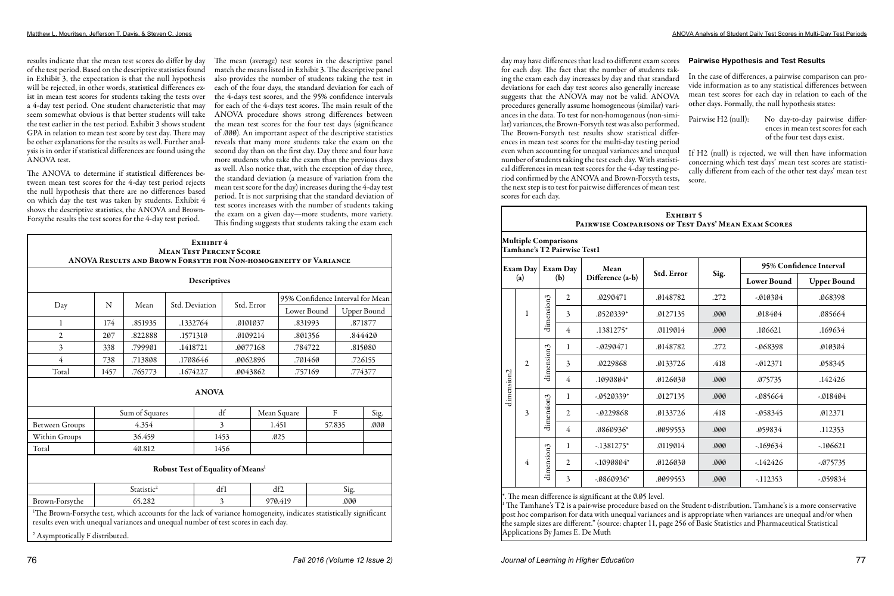results indicate that the mean test scores do differ by day of the test period. Based on the descriptive statistics found in Exhibit 3, the expectation is that the null hypothesis will be rejected, in other words, statistical differences exist in mean test scores for students taking the tests over a 4-day test period. One student characteristic that may seem somewhat obvious is that better students will take the test earlier in the test period. Exhibit 3 shows student GPA in relation to mean test score by test day. There may be other explanations for the results as well. Further analysis is in order if statistical differences are found using the ANOVA test.

The ANOVA to determine if statistical differences between mean test scores for the 4-day test period rejects the null hypothesis that there are no differences based on which day the test was taken by students. Exhibit 4 shows the descriptive statistics, the ANOVA and Brown-Forsythe results the test scores for the 4-day test period.

The mean (average) test scores in the descriptive panel match the means listed in Exhibit 3. The descriptive panel also provides the number of students taking the test in each of the four days, the standard deviation for each of the 4-days test scores, and the 95% confidence intervals for each of the 4-days test scores. The main result of the ANOVA procedure shows strong differences between the mean test scores for the four test days (significance of .000). An important aspect of the descriptive statistics reveals that many more students take the exam on the second day than on the first day. Day three and four have more students who take the exam than the previous days as well. Also notice that, with the exception of day three, the standard deviation (a measure of variation from the mean test score for the day) increases during the 4-day test period. It is not surprising that the standard deviation of test scores increases with the number of students taking the exam on a given day—more students, more variety. This finding suggests that students taking the exam each

> . The mean difference is significant at the 0.05 level. <sup>1</sup> The Tamhane's T2 is a pair-wise procedure based on the Student t-distribution. Tamhane's is a more conservative post hoc comparison for data with unequal variances and is appropriate when variances are unequal and/or when the sample sizes are different." (source: chapter 11, page 256 of Basic Statistics and Pharmaceutical Statistical Applications By James E. De Muth

day may have differences that lead to different exam scores **Pairwise Hypothesis and Test Results** for each day. The fact that the number of students taking the exam each day increases by day and that standard deviations for each day test scores also generally increase suggests that the ANOVA may not be valid. ANOVA procedures generally assume homogeneous (similar) variances in the data. To test for non-homogenous (non-similar) variances, the Brown-Forsyth test was also performed. The Brown-Forsyth test results show statistical differences in mean test scores for the multi-day testing period even when accounting for unequal variances and unequal number of students taking the test each day. With statistical differences in mean test scores for the 4-day testing period confirmed by the ANOVA and Brown-Forsyth tests, the next step is to test for pairwise differences of mean test scores for each day. In the case of differences, a pairwise comparison can provide information as to any statistical differences between mean test scores for each day in relation to each of the other days. Formally, the null hypothesis states: Pairwise H2 (null): No day-to-day pairwise differences in mean test scores for each of the four test days exist. If H2 (null) is rejected, we will then have information concerning which test days' mean test scores are statistically different from each of the other test days' mean test score.

### Exh PAIRWISE COMPARISONS OF Multiple Comparisons Tamhane's T2 Pairwise Test1 Exam Day Exam Day Mean  $\left| \begin{array}{c} \text{Mean} \\ \text{Difference (a-b)} \end{array} \right|$  Std. Error (a) (b) dimension3 2 .0290471 .0148782 .272 -.010304 .068398 dimension3 1 3 .0520339\* .0127135 .000 .018404 .085664 4 .1381275\* .01190 dimension3 1 -.0290471 .0148782 .272 .068398 .010304 dimension3 2 3 .0229868 .0133726 .418 .012371 .058345 dimension2 dimension2 4 .1090804\* .0126030 .000 .075735 .142426 dimension3  $1 \quad .0520339* \quad .01271$ dimension3 2  $-.0229868$  .01337 3 4 .0860936\* .0099553 .000 .059834 .112353 dimension3  $1 \mid .1381275^* \mid .01190$ dimension3 4 2 | -.1090804\* | .0126030 | .000 | -.142426 | .075735 3 | -.0860936\* | .0099553 | .000 | -.112353 | -.059834

|                         |      |                        | Descriptives                                  |      |            |                                  |           |                    |
|-------------------------|------|------------------------|-----------------------------------------------|------|------------|----------------------------------|-----------|--------------------|
|                         |      |                        |                                               |      |            | 95% Confidence Interval for Mean |           |                    |
| Day                     | N    | Mean                   | Std. Deviation                                |      | Std. Error | Lower Bound                      |           | <b>Upper Bound</b> |
| $\mathbf{1}$            | 174  | .851935                | .1332764                                      |      | .0101037   | .831993                          |           | .871877            |
| $\overline{2}$          | 207  | .822888                | .1571310                                      |      | .0109214   | .801356                          |           | .844420            |
| $\overline{\mathbf{3}}$ | 338  | .799901                | .1418721                                      |      | .0077168   | .784722                          |           | .815080            |
| $\overline{4}$          | 738  | .713808                | .1708646                                      |      | .0062896   | .701460                          |           | .726155            |
| Total                   | 1457 | .765773                | .1674227                                      |      | .0043862   | .757169                          |           | .774377            |
|                         |      |                        | <b>ANOVA</b>                                  |      |            |                                  |           |                    |
|                         |      | Sum of Squares         |                                               | df   |            | Mean Square                      | ${\rm F}$ | Sig.               |
| <b>Between Groups</b>   |      | 4.354                  |                                               | 3    |            | 1.451                            | 57.835    | .000               |
| Within Groups           |      | 36.459                 |                                               | 1453 |            | .025                             |           |                    |
| Total                   |      | 40.812                 |                                               | 1456 |            |                                  |           |                    |
|                         |      |                        | Robust Test of Equality of Means <sup>1</sup> |      |            |                                  |           |                    |
|                         |      | Statistic <sup>2</sup> | df1                                           |      |            | df2                              | Sig.      |                    |
| Brown-Forsythe          |      | 65.282                 | 3                                             |      |            | 970.419                          | .000      |                    |

| нівіт 5 |      | <b>TEST DAYS' MEAN EXAM SCORES</b> |                         |
|---------|------|------------------------------------|-------------------------|
|         |      |                                    |                         |
|         |      |                                    | 95% Confidence Interval |
| ror     | Sig. | <b>Lower Bound</b>                 | <b>Upper Bound</b>      |
| 82      | .272 | $-0.010304$                        | .068398                 |
| 35      | .000 | .018404                            | .085664                 |
| 14      | .000 | .106621                            | .169634                 |
| 82      | .272 | $-0.068398$                        | .010304                 |
| 26      | .418 | $-0.012371$                        | .058345                 |
| 30      | .000 | .075735                            | .142426                 |
| 35      | .000 | -.085664                           | -.018404                |
| 26      | .418 | $-058345$                          | .012371                 |
| 53      | .000 | .059834                            | .112353                 |
| 14      | .000 | $-169634$                          | $-106621$               |
| 30      | .000 | $-142426$                          | $-075735$               |
| 53      | .000 | $-112353$                          | -.059834                |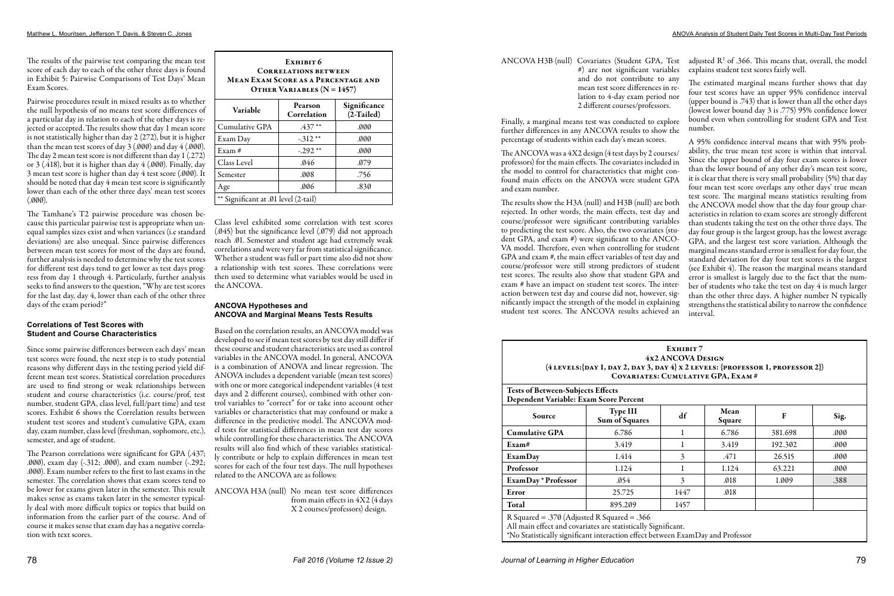Pairwise procedures result in mixed results as to whether the null hypothesis of no means test score differences of a particular day in relation to each of the other days is rejected or accepted. The results show that day 1 mean score is not statistically higher than day 2 (272), but it is higher than the mean test scores of day  $3(.000)$  and day  $4(.000)$ . The day 2 mean test score is not different than day 1 (.272) or 3 (.418), but it is higher than day 4 (.000). Finally, day 3 mean test score is higher than day 4 test score (.000). It should be noted that day 4 mean test score is significantly lower than each of the other three days' mean test scores  $(.000)$ .

The results of the pairwise test comparing the mean test score of each day to each of the other three days is found in Exhibit 5: Pairwise Comparisons of Test Days' Mean Exam Scores.

The Tamhane's T2 pairwise procedure was chosen because this particular pairwise test is appropriate when unequal samples sizes exist and when variances (i.e standard deviations) are also unequal. Since pairwise differences between mean test scores for most of the days are found, further analysis is needed to determine why the test scores for different test days tend to get lower as test days progress from day 1 through 4. Particularly, further analysis seeks to find answers to the question, "Why are test scores for the last day, day 4, lower than each of the other three days of the exam period?"

## **Correlations of Test Scores with Student and Course Characteristics**

Since some pairwise differences between each days' mean test scores were found, the next step is to study potential reasons why different days in the testing period yield different mean test scores. Statistical correlation procedures are used to find strong or weak relationships between student and course characteristics (i.e. course/prof, test number, student GPA, class level, full/part time) and test scores. Exhibit 6 shows the Correlation results between student test scores and student's cumulative GPA, exam day, exam number, class level (freshman, sophomore, etc.), semester, and age of student.

The Pearson correlations were significant for GPA (.437; .000), exam day (-.312; .000), and exam number (-.292; .000). Exam number refers to the first to last exams in the semester. The correlation shows that exam scores tend to be lower for exams given later in the semester. This result makes sense as exams taken later in the semester typically deal with more difficult topics or topics that build on information from the earlier part of the course. And of course it makes sense that exam day has a negative correlation with text scores.

ANCOVA H3B (null) Covariates (Student GPA, Test adjusted  $R^2$  of .366. This means that, overall, the model #) are not significant variables and do not contribute to any mean test score differences in relation to 4-day exam period nor 2 different courses/professors. Finally, a marginal means test was conducted to explore explains student test scores fairly well. The estimated marginal means further shows that day four test scores have an upper 95% confidence interval (upper bound is .743) that is lower than all the other days (lowest lower bound day 3 is .775) 95% confidence lower bound even when controlling for student GPA and Test number.

Class level exhibited some correlation with test scores (.045) but the significance level (.079) did not approach reach .01. Semester and student age had extremely weak correlations and were very far from statistical significance. Whether a student was full or part time also did not show a relationship with test scores. These correlations were then used to determine what variables would be used in the ANCOVA.

### **ANCOVA Hypotheses and ANCOVA and Marginal Means Tests Results**

Based on the correlation results, an ANCOVA model was developed to see if mean test scores by test day still differ if these course and student characteristics are used as control variables in the ANCOVA model. In general, ANCOVA is a combination of ANOVA and linear regression. The ANOVA includes a dependent variable (mean test scores) with one or more categorical independent variables (4 test days and 2 different courses), combined with other control variables to "correct" for or take into account other variables or characteristics that may confound or make a difference in the predictive model. The ANCOVA model tests for statistical differences in mean test day scores while controlling for these characteristics. The ANCOVA results will also find which of these variables statistically contribute or help to explain differences in mean test scores for each of the four test days. The null hypotheses related to the ANCOVA are as follows:

ANCOVA H3A (null) No mean test score differences from main effects in 4X2 (4 days X 2 courses/professors) design.

further differences in any ANCOVA results to show the percentage of students within each day's mean scores.

The ANCOVA was a 4X2 design (4 test days by 2 courses/ professors) for the main effects. The covariates included in the model to control for characteristics that might confound main effects on the ANOVA were student GPA and exam number. The results show the H3A (null) and H3B (null) are both rejected. In other words, the main effects, test day and course/professor were significant contributing variables to predicting the test score. Also, the two covariates (student GPA, and exam #) were significant to the ANCO-VA model. Therefore, even when controlling for student GPA and exam #, the main effect variables of test day and course/professor were still strong predictors of student test scores. The results also show that student GPA and exam # have an impact on student test scores. The interaction between test day and course did not, however, significantly impact the strength of the model in explaining student test scores. The ANCOVA results achieved an A 95% confidence interval means that with 95% probability, the true mean test score is within that interval. Since the upper bound of day four exam scores is lower than the lower bound of any other day's mean test score, it is clear that there is very small probability (5%) that day four mean test score overlaps any other days' true mean test score. The marginal means statistics resulting from the ANCOVA model show that the day four group characteristics in relation to exam scores are strongly different than students taking the test on the other three days. The day four group is the largest group, has the lowest average GPA, and the largest test score variation. Although the marginal means standard error is smallest for day four, the standard deviation for day four test scores is the largest (see Exhibit 4). The reason the marginal means standard error is smallest is largely due to the fact that the number of students who take the test on day 4 is much larger than the other three days. A higher number N typically strengthens the statistical ability to narrow the confidence interval.

|                                      | EXHIBIT <sub>6</sub><br><b>CORRELATIONS BETWEEN</b><br><b>MEAN EXAM SCORE AS A PERCENTAGE AND</b><br>OTHER VARIABLES $(N = 1457)$ |                              |
|--------------------------------------|-----------------------------------------------------------------------------------------------------------------------------------|------------------------------|
| Variable                             | Pearson<br>Correlation                                                                                                            | Significance<br>$(2-Tailed)$ |
| Cumulative GPA                       | $.437**$                                                                                                                          | .000                         |
| Exam Day                             | $-312**$                                                                                                                          | .000                         |
| Exam#                                | $-.292**$                                                                                                                         | .000                         |
| Class Level                          | .046                                                                                                                              | .079                         |
| Semester                             | .008                                                                                                                              | .756                         |
| Age                                  | .006                                                                                                                              | .830                         |
| ** Significant at .01 level (2-tail) |                                                                                                                                   |                              |

|                                                                                    | $(4 \text{ LEVELs:} \{ \text{day } 1, \text{day } 2, \text{day } 3, \text{day } 4 \} \times 2 \text{ LEVELs:} \{ \text{PROFESSOR } 1, \text{PROFESSOR } 2 \})$ | $ExHIBIT 7$<br>4x2 ANCOVA DESIGN | COVARIATES: CUMULATIVE GPA, EXAM # |         |      |
|------------------------------------------------------------------------------------|----------------------------------------------------------------------------------------------------------------------------------------------------------------|----------------------------------|------------------------------------|---------|------|
| <b>Tests of Between-Subjects Effects</b><br>Dependent Variable: Exam Score Percent |                                                                                                                                                                |                                  |                                    |         |      |
| Source                                                                             | <b>Type III</b><br>Sum of Squares                                                                                                                              | df                               | Mean<br>Square                     | F       | Sig. |
| <b>Cumulative GPA</b>                                                              | 6.786                                                                                                                                                          |                                  | 6.786                              | 381.698 | .000 |
| Exam#                                                                              | 3.419                                                                                                                                                          |                                  | 3.419                              | 192.302 | .000 |
| <b>ExamDay</b>                                                                     | 1.414                                                                                                                                                          | 3                                | .471                               | 26.515  | .000 |
| Professor                                                                          | 1.124                                                                                                                                                          |                                  | 1.124                              | 63.221  | .000 |
| <b>ExamDay</b> * Professor                                                         | .054                                                                                                                                                           | 3                                | .018                               | 1.009   | .388 |
| Error                                                                              | 25.725                                                                                                                                                         | 1447                             | .018                               |         |      |
| <b>Total</b>                                                                       | 895.209                                                                                                                                                        | 1457                             |                                    |         |      |

All main effect and covariates are statistically Significant. \*No Statistically significant interaction effect between ExamDay and Professor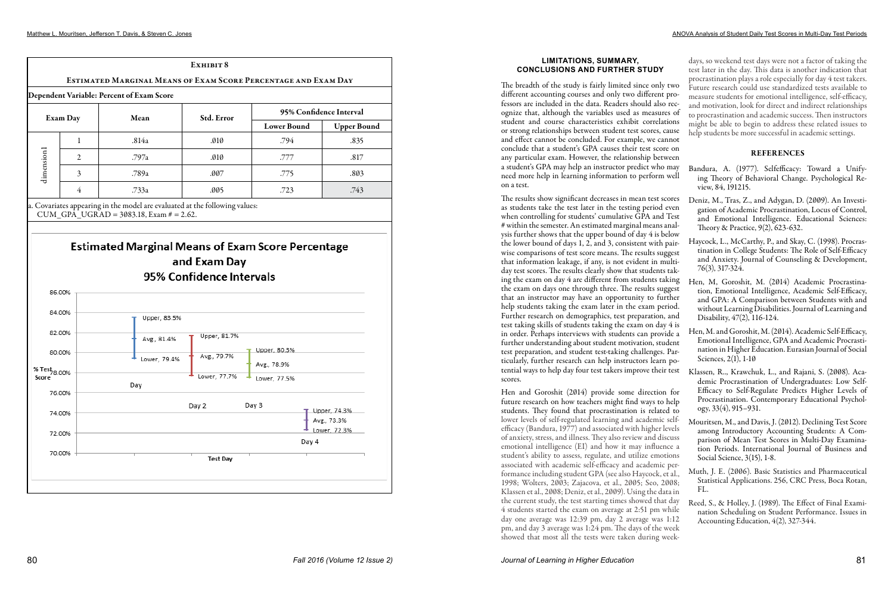**CONCLUSIONS AND FURTHER STUDY** The breadth of the study is fairly limited since only two different accounting courses and only two different professors are included in the data. Readers should also recognize that, although the variables used as measures of student and course characteristics exhibit correlations or strong relationships between student test scores, cause and effect cannot be concluded. For example, we cannot conclude that a student's GPA causes their test score on any particular exam. However, the relationship between a student's GPA may help an instructor predict who may need more help in learning information to perform well on a test. days, so weekend test days were not a factor of taking the test later in the day. This data is another indication that procrastination plays a role especially for day 4 test takers. Future research could use standardized tests available to measure students for emotional intelligence, self-efficacy, and motivation, look for direct and indirect relationships to procrastination and academic success. Then instructors might be able to begin to address these related issues to help students be more successful in academic settings. **REFERENCES** 

# **LIMITATIONS, SUMMARY,**

The results show significant decreases in mean test scores as students take the test later in the testing period even when controlling for students' cumulative GPA and Test # within the semester. An estimated marginal means analysis further shows that the upper bound of day 4 is below the lower bound of days 1, 2, and 3, consistent with pairwise comparisons of test score means. The results suggest that information leakage, if any, is not evident in multiday test scores. The results clearly show that students taking the exam on day 4 are different from students taking the exam on days one through three. The results suggest that an instructor may have an opportunity to further help students taking the exam later in the exam period. Further research on demographics, test preparation, and test taking skills of students taking the exam on day 4 is in order. Perhaps interviews with students can provide a further understanding about student motivation, student test preparation, and student test-taking challenges. Particularly, further research can help instructors learn potential ways to help day four test takers improve their test scores.

Hen and Goroshit (2014) provide some direction for future research on how teachers might find ways to help students. They found that procrastination is related to lower levels of self-regulated learning and academic selfefficacy (Bandura, 1977) and associated with higher levels of anxiety, stress, and illness. They also review and discuss emotional intelligence (EI) and how it may influence a student's ability to assess, regulate, and utilize emotions associated with academic self-efficacy and academic performance including student GPA (see also Haycock, et al., 1998; Wolters, 2003; Zajacova, et al., 2005; Seo, 2008; Klassen et al., 2008; Deniz, et al., 2009). Using the data in the current study, the test starting times showed that day 4 students started the exam on average at 2:51 pm while day one average was 12:39 pm, day 2 average was 1:12 pm, and day 3 average was 1:24 pm. The days of the week showed that most all the tests were taken during week-

- Bandura, A. (1977). Selfefficacy: Toward a Unifying Theory of Behavioral Change. Psychological Review, 84, 191215.
- Deniz, M., Tras, Z., and Adygan, D. (2009). An Investigation of Academic Procrastination, Locus of Control, and Emotional Intelligence. Educational Sciences: Theory & Practice, 9(2), 623-632.
- Haycock, L., McCarthy, P., and Skay, C. (1998). Procrastination in College Students: The Role of Self-Efficacy and Anxiety. Journal of Counseling & Development, 76(3), 317-324.
- Hen, M, Goroshit, M. (2014) Academic Procrastination, Emotional Intelligence, Academic Self-Efficacy, and GPA: A Comparison between Students with and without Learning Disabilities. Journal of Learning and Disability, 47(2), 116-124.
- Hen, M. and Goroshit, M. (2014). Academic Self-Efficacy, Emotional Intelligence, GPA and Academic Procrastination in Higher Education. Eurasian Journal of Social Sciences, 2(1), 1-10
- Klassen, R.., Krawchuk, L., and Rajani, S. (2008). Academic Procrastination of Undergraduates: Low Self-Efficacy to Self-Regulate Predicts Higher Levels of Procrastination. Contemporary Educational Psychology, 33(4), 915–931.
- Mouritsen, M., and Davis, J. (2012). Declining Test Score among Introductory Accounting Students: A Comparison of Mean Test Scores in Multi-Day Examination Periods. International Journal of Business and Social Science, 3(15), 1-8.
- Muth, J. E. (2006). Basic Statistics and Pharmaceutical Statistical Applications. 256, CRC Press, Boca Rotan, FL.
- Reed, S., & Holley, J. (1989). The Effect of Final Examination Scheduling on Student Performance. Issues in Accounting Education, 4(2), 327-344.

|                                 |                |                                            | EXHIBIT <sup>8</sup>                                                                                                                                    |                             |                             |
|---------------------------------|----------------|--------------------------------------------|---------------------------------------------------------------------------------------------------------------------------------------------------------|-----------------------------|-----------------------------|
|                                 |                | Dependent Variable: Percent of Exam Score  | ESTIMATED MARGINAL MEANS OF EXAM SCORE PERCENTAGE AND EXAM DAY                                                                                          |                             |                             |
|                                 |                |                                            |                                                                                                                                                         |                             | 95% Confidence Interval     |
| <b>Exam Day</b>                 |                | Mean                                       | Std. Error                                                                                                                                              | <b>Lower Bound</b>          | <b>Upper Bound</b>          |
|                                 | 1              | .814a                                      | .010                                                                                                                                                    | .794                        | .835                        |
|                                 | $\overline{2}$ | .797a                                      | .010                                                                                                                                                    | .777                        | .817                        |
| dimension1                      | 3              | .789a                                      | .007                                                                                                                                                    | .775                        | .803                        |
|                                 | $\overline{4}$ | .733a                                      | .005                                                                                                                                                    | .723                        | .743                        |
|                                 |                | CUM GPA UGRAD = $3083.18$ , Exam # = 2.62. | a. Covariates appearing in the model are evaluated at the following values:<br><b>Estimated Marginal Means of Exam Score Percentage</b><br>and Exam Day |                             |                             |
| 86.00%                          |                |                                            | 95% Confidence Intervals                                                                                                                                |                             |                             |
| 84.00%                          |                | Upper, 83.5%                               |                                                                                                                                                         |                             |                             |
| 82.00%                          |                | Avg., 81.4%                                | Upper, 81.7%                                                                                                                                            |                             |                             |
| 80.00%                          |                | Lower, 79.4%                               | Avg., 79.7%                                                                                                                                             | Upper, 80.3%<br>Avg., 78.9% |                             |
|                                 |                | Day                                        | Lower, 77.7%                                                                                                                                            | Lower, 77.5%                |                             |
| 76.00%<br>74.00%                |                |                                            | Day 2                                                                                                                                                   | Day 3                       | Upper, 74.3%<br>Avg., 73.3% |
| % Test 8.00%<br>Score<br>72.00% |                |                                            |                                                                                                                                                         | Day 4                       | Lower, 72.3%                |